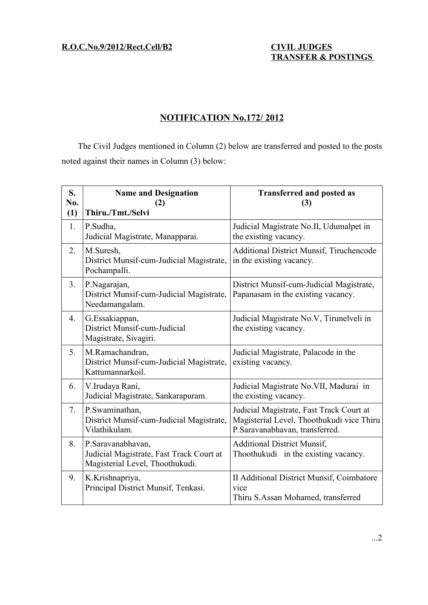**R.O.C.No.9/2012/Rect.Cell/B2 CIVIL JUDGES**

# **TRANSFER & POSTINGS**

## **NOTIFICATION No.172/ 2012**

The Civil Judges mentioned in Column (2) below are transferred and posted to the posts noted against their names in Column (3) below:

| S.<br>N <sub>0</sub> .<br>(1) | <b>Name and Designation</b><br>(2)<br>Thiru./Tmt./Selvi                                          | <b>Transferred and posted as</b><br>(3)                                                                                 |
|-------------------------------|--------------------------------------------------------------------------------------------------|-------------------------------------------------------------------------------------------------------------------------|
| 1.                            | P.Sudha,<br>Judicial Magistrate, Manapparai.                                                     | Judicial Magistrate No.II, Udumalpet in<br>the existing vacancy.                                                        |
| 2.                            | M.Suresh,<br>District Munsif-cum-Judicial Magistrate,<br>Pochampalli.                            | <b>Additional District Munsif, Tiruchencode</b><br>in the existing vacancy.                                             |
| 3 <sub>1</sub>                | P.Nagarajan,<br>District Munsif-cum-Judicial Magistrate,<br>Needamangalam.                       | District Munsif-cum-Judicial Magistrate,<br>Papanasam in the existing vacancy.                                          |
| 4.                            | G.Essakiappan,<br>District Munsif-cum-Judicial<br>Magistrate, Sivagiri.                          | Judicial Magistrate No.V, Tirunelveli in<br>the existing vacancy.                                                       |
| 5.                            | M.Ramachandran,<br>District Munsif-cum-Judicial Magistrate,<br>Kattumannarkoil.                  | Judicial Magistrate, Palacode in the<br>existing vacancy.                                                               |
| 6.                            | V.Irudaya Rani,<br>Judicial Magistrate, Sankarapuram.                                            | Judicial Magistrate No. VII, Madurai in<br>the existing vacancy.                                                        |
| 7.                            | P.Swaminathan,<br>District Munsif-cum-Judicial Magistrate,<br>Vilathikulam.                      | Judicial Magistrate, Fast Track Court at<br>Magisterial Level, Thoothukudi vice Thiru<br>P.Saravanabhavan, transferred. |
| 8.                            | P.Saravanabhavan,<br>Judicial Magistrate, Fast Track Court at<br>Magisterial Level, Thoothukudi. | <b>Additional District Munsif,</b><br>Thoothukudi in the existing vacancy.                                              |
| 9.                            | K.Krishnapriya,<br>Principal District Munsif, Tenkasi.                                           | II Additional District Munsif, Coimbatore<br>vice<br>Thiru S.Assan Mohamed, transferred                                 |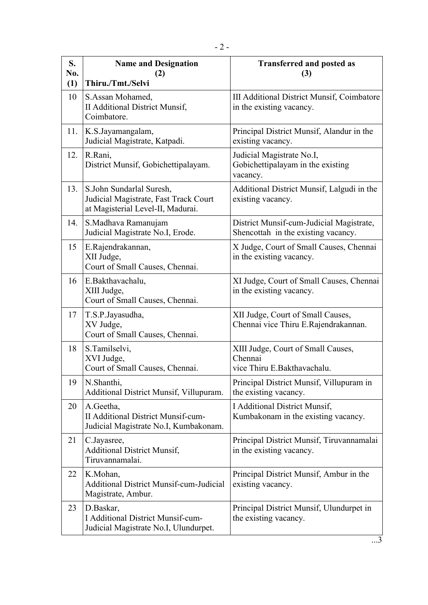| S.<br>No. | <b>Name and Designation</b><br>(2)                                                                     | <b>Transferred and posted as</b><br>(3)                                         |
|-----------|--------------------------------------------------------------------------------------------------------|---------------------------------------------------------------------------------|
| (1)       | Thiru./Tmt./Selvi                                                                                      |                                                                                 |
| 10        | S.Assan Mohamed,<br><b>II Additional District Munsif,</b><br>Coimbatore.                               | <b>III Additional District Munsif, Coimbatore</b><br>in the existing vacancy.   |
| 11.       | K.S.Jayamangalam,<br>Judicial Magistrate, Katpadi.                                                     | Principal District Munsif, Alandur in the<br>existing vacancy.                  |
| 12.       | R.Rani,<br>District Munsif, Gobichettipalayam.                                                         | Judicial Magistrate No.I,<br>Gobichettipalayam in the existing<br>vacancy.      |
| 13.       | S.John Sundarlal Suresh,<br>Judicial Magistrate, Fast Track Court<br>at Magisterial Level-II, Madurai. | Additional District Munsif, Lalgudi in the<br>existing vacancy.                 |
| 14.       | S.Madhava Ramanujam<br>Judicial Magistrate No.I, Erode.                                                | District Munsif-cum-Judicial Magistrate,<br>Shencottah in the existing vacancy. |
| 15        | E.Rajendrakannan,<br>XII Judge,<br>Court of Small Causes, Chennai.                                     | X Judge, Court of Small Causes, Chennai<br>in the existing vacancy.             |
| 16        | E.Bakthavachalu,<br>XIII Judge,<br>Court of Small Causes, Chennai.                                     | XI Judge, Court of Small Causes, Chennai<br>in the existing vacancy.            |
| 17        | T.S.P.Jayasudha,<br>XV Judge,<br>Court of Small Causes, Chennai.                                       | XII Judge, Court of Small Causes,<br>Chennai vice Thiru E.Rajendrakannan.       |
| 18        | S.Tamilselvi,<br>XVI Judge,<br>Court of Small Causes, Chennai.                                         | XIII Judge, Court of Small Causes,<br>Chennai<br>vice Thiru E.Bakthavachalu.    |
| 19        | N.Shanthi,<br>Additional District Munsif, Villupuram.                                                  | Principal District Munsif, Villupuram in<br>the existing vacancy.               |
| 20        | A.Geetha,<br><b>II Additional District Munsif-cum-</b><br>Judicial Magistrate No.I, Kumbakonam.        | I Additional District Munsif,<br>Kumbakonam in the existing vacancy.            |
| 21        | C.Jayasree,<br><b>Additional District Munsif,</b><br>Tiruvannamalai.                                   | Principal District Munsif, Tiruvannamalai<br>in the existing vacancy.           |
| 22        | K.Mohan,<br><b>Additional District Munsif-cum-Judicial</b><br>Magistrate, Ambur.                       | Principal District Munsif, Ambur in the<br>existing vacancy.                    |
| 23        | D.Baskar,<br><b>I Additional District Munsif-cum-</b><br>Judicial Magistrate No.I, Ulundurpet.         | Principal District Munsif, Ulundurpet in<br>the existing vacancy.               |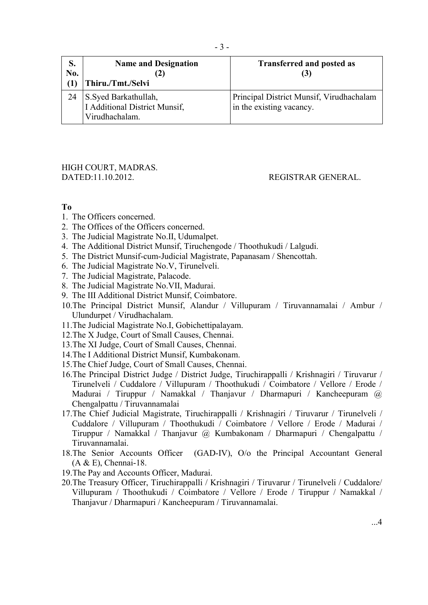| S.<br>No. | <b>Name and Designation</b><br>(2)<br>Thiru./Tmt./Selvi                 | <b>Transferred and posted as</b>                                     |
|-----------|-------------------------------------------------------------------------|----------------------------------------------------------------------|
|           | S.Syed Barkathullah,<br>I Additional District Munsif,<br>Virudhachalam. | Principal District Munsif, Virudhachalam<br>in the existing vacancy. |

#### HIGH COURT, MADRAS. DATED:11.10.2012. REGISTRAR GENERAL.

#### **To**

- 1. The Officers concerned.
- 2. The Offices of the Officers concerned.
- 3. The Judicial Magistrate No.II, Udumalpet.
- 4. The Additional District Munsif, Tiruchengode / Thoothukudi / Lalgudi.
- 5. The District Munsif-cum-Judicial Magistrate, Papanasam / Shencottah.
- 6. The Judicial Magistrate No.V, Tirunelveli.
- 7. The Judicial Magistrate, Palacode.
- 8. The Judicial Magistrate No.VII, Madurai.
- 9. The III Additional District Munsif, Coimbatore.
- 10.The Principal District Munsif, Alandur / Villupuram / Tiruvannamalai / Ambur / Ulundurpet / Virudhachalam.
- 11.The Judicial Magistrate No.I, Gobichettipalayam.
- 12.The X Judge, Court of Small Causes, Chennai.
- 13.The XI Judge, Court of Small Causes, Chennai.
- 14.The I Additional District Munsif, Kumbakonam.
- 15.The Chief Judge, Court of Small Causes, Chennai.
- 16.The Principal District Judge / District Judge, Tiruchirappalli / Krishnagiri / Tiruvarur / Tirunelveli / Cuddalore / Villupuram / Thoothukudi / Coimbatore / Vellore / Erode / Madurai / Tiruppur / Namakkal / Thanjavur / Dharmapuri / Kancheepuram @ Chengalpattu / Tiruvannamalai
- 17.The Chief Judicial Magistrate, Tiruchirappalli / Krishnagiri / Tiruvarur / Tirunelveli / Cuddalore / Villupuram / Thoothukudi / Coimbatore / Vellore / Erode / Madurai / Tiruppur / Namakkal / Thanjavur @ Kumbakonam / Dharmapuri / Chengalpattu / Tiruvannamalai.
- 18.The Senior Accounts Officer (GAD-IV), O/o the Principal Accountant General (A & E), Chennai-18.
- 19.The Pay and Accounts Officer, Madurai.
- 20.The Treasury Officer, Tiruchirappalli / Krishnagiri / Tiruvarur / Tirunelveli / Cuddalore/ Villupuram / Thoothukudi / Coimbatore / Vellore / Erode / Tiruppur / Namakkal / Thanjavur / Dharmapuri / Kancheepuram / Tiruvannamalai.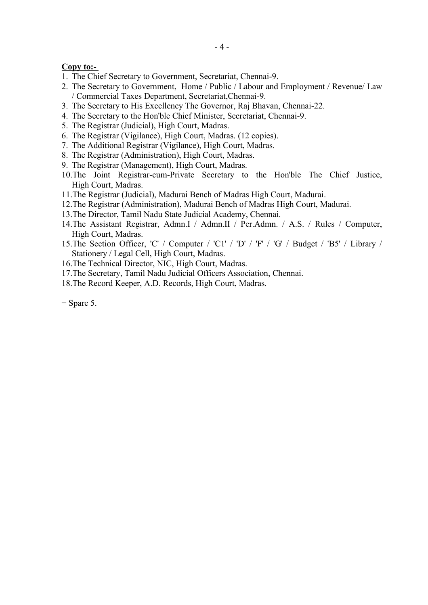Copy to:-

- 1. The Chief Secretary to Government, Secretariat, Chennai-9.
- 2. The Secretary to Government, Home / Public / Labour and Employment / Revenue/ Law / Commercial Taxes Department, Secretariat,Chennai-9.
- 3. The Secretary to His Excellency The Governor, Raj Bhavan, Chennai-22.
- 4. The Secretary to the Hon'ble Chief Minister, Secretariat, Chennai-9.
- 5. The Registrar (Judicial), High Court, Madras.
- 6. The Registrar (Vigilance), High Court, Madras. (12 copies).
- 7. The Additional Registrar (Vigilance), High Court, Madras.
- 8. The Registrar (Administration), High Court, Madras.
- 9. The Registrar (Management), High Court, Madras.
- 10.The Joint Registrar-cum-Private Secretary to the Hon'ble The Chief Justice, High Court, Madras.
- 11.The Registrar (Judicial), Madurai Bench of Madras High Court, Madurai.
- 12.The Registrar (Administration), Madurai Bench of Madras High Court, Madurai.
- 13.The Director, Tamil Nadu State Judicial Academy, Chennai.
- 14.The Assistant Registrar, Admn.I / Admn.II / Per.Admn. / A.S. / Rules / Computer, High Court, Madras.
- 15.The Section Officer, 'C' / Computer / 'C1' / 'D' / 'F' / 'G' / Budget / 'B5' / Library / Stationery / Legal Cell, High Court, Madras.
- 16.The Technical Director, NIC, High Court, Madras.
- 17.The Secretary, Tamil Nadu Judicial Officers Association, Chennai.
- 18.The Record Keeper, A.D. Records, High Court, Madras.

+ Spare 5.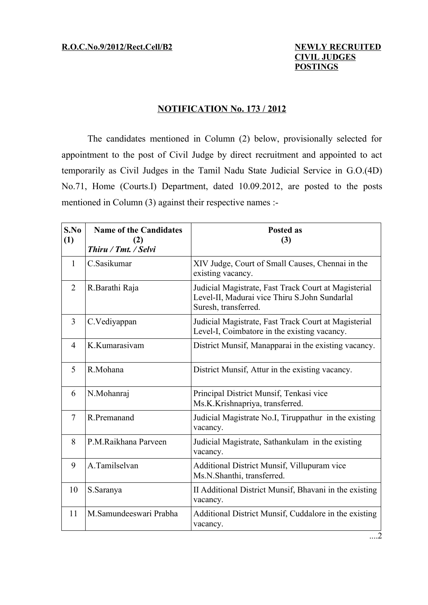### **NOTIFICATION No. 173 / 2012**

The candidates mentioned in Column (2) below, provisionally selected for appointment to the post of Civil Judge by direct recruitment and appointed to act temporarily as Civil Judges in the Tamil Nadu State Judicial Service in G.O.(4D) No.71, Home (Courts.I) Department, dated 10.09.2012, are posted to the posts mentioned in Column (3) against their respective names :-

| S.No<br>(1)    | <b>Name of the Candidates</b><br>(2)<br>Thiru / Tmt. / Selvi | <b>Posted as</b><br>(3)                                                                                                       |
|----------------|--------------------------------------------------------------|-------------------------------------------------------------------------------------------------------------------------------|
| 1              | C.Sasikumar                                                  | XIV Judge, Court of Small Causes, Chennai in the<br>existing vacancy.                                                         |
| $\overline{2}$ | R.Barathi Raja                                               | Judicial Magistrate, Fast Track Court at Magisterial<br>Level-II, Madurai vice Thiru S.John Sundarlal<br>Suresh, transferred. |
| 3              | C.Vediyappan                                                 | Judicial Magistrate, Fast Track Court at Magisterial<br>Level-I, Coimbatore in the existing vacancy.                          |
| $\overline{4}$ | K.Kumarasiyam                                                | District Munsif, Manapparai in the existing vacancy.                                                                          |
| 5              | R.Mohana                                                     | District Munsif, Attur in the existing vacancy.                                                                               |
| 6              | N.Mohanraj                                                   | Principal District Munsif, Tenkasi vice<br>Ms.K.Krishnapriya, transferred.                                                    |
| $\overline{7}$ | R.Premanand                                                  | Judicial Magistrate No.I, Tiruppathur in the existing<br>vacancy.                                                             |
| 8              | P.M.Raikhana Parveen                                         | Judicial Magistrate, Sathankulam in the existing<br>vacancy.                                                                  |
| 9              | A.Tamilselvan                                                | Additional District Munsif, Villupuram vice<br>Ms.N.Shanthi, transferred.                                                     |
| 10             | S.Saranya                                                    | II Additional District Munsif, Bhavani in the existing<br>vacancy.                                                            |
| 11             | M.Samundeeswari Prabha                                       | Additional District Munsif, Cuddalore in the existing<br>vacancy.                                                             |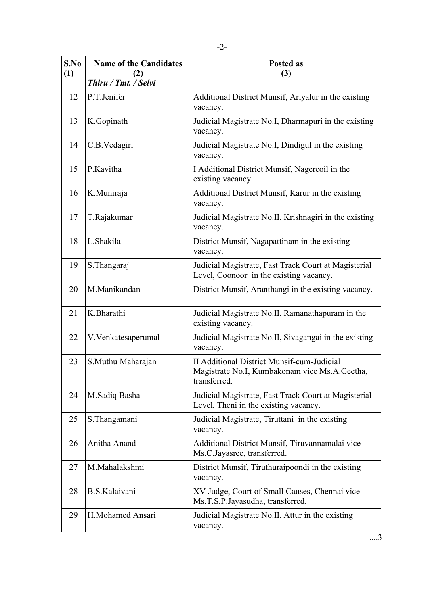| S.No<br>(1) | <b>Name of the Candidates</b><br>(2) | <b>Posted as</b><br>(3)                                                                                            |
|-------------|--------------------------------------|--------------------------------------------------------------------------------------------------------------------|
|             | Thiru / Tmt. / Selvi                 |                                                                                                                    |
| 12          | P.T.Jenifer                          | Additional District Munsif, Ariyalur in the existing<br>vacancy.                                                   |
| 13          | K.Gopinath                           | Judicial Magistrate No.I, Dharmapuri in the existing<br>vacancy.                                                   |
| 14          | C.B.Vedagiri                         | Judicial Magistrate No.I, Dindigul in the existing<br>vacancy.                                                     |
| 15          | P.Kavitha                            | I Additional District Munsif, Nagercoil in the<br>existing vacancy.                                                |
| 16          | K.Muniraja                           | Additional District Munsif, Karur in the existing<br>vacancy.                                                      |
| 17          | T.Rajakumar                          | Judicial Magistrate No.II, Krishnagiri in the existing<br>vacancy.                                                 |
| 18          | L.Shakila                            | District Munsif, Nagapattinam in the existing<br>vacancy.                                                          |
| 19          | S. Thangaraj                         | Judicial Magistrate, Fast Track Court at Magisterial<br>Level, Coonoor in the existing vacancy.                    |
| 20          | M.Manikandan                         | District Munsif, Aranthangi in the existing vacancy.                                                               |
| 21          | K.Bharathi                           | Judicial Magistrate No.II, Ramanathapuram in the<br>existing vacancy.                                              |
| 22          | V.Venkatesaperumal                   | Judicial Magistrate No.II, Sivagangai in the existing<br>vacancy.                                                  |
| 23          | S.Muthu Maharajan                    | <b>II Additional District Munsif-cum-Judicial</b><br>Magistrate No.I, Kumbakonam vice Ms.A.Geetha,<br>transferred. |
| 24          | M.Sadiq Basha                        | Judicial Magistrate, Fast Track Court at Magisterial<br>Level, Theni in the existing vacancy.                      |
| 25          | S. Thangamani                        | Judicial Magistrate, Tiruttani in the existing<br>vacancy.                                                         |
| 26          | Anitha Anand                         | Additional District Munsif, Tiruvannamalai vice<br>Ms.C.Jayasree, transferred.                                     |
| 27          | M.Mahalakshmi                        | District Munsif, Tiruthuraipoondi in the existing<br>vacancy.                                                      |
| 28          | B.S.Kalaivani                        | XV Judge, Court of Small Causes, Chennai vice<br>Ms.T.S.P.Jayasudha, transferred.                                  |
| 29          | H.Mohamed Ansari                     | Judicial Magistrate No.II, Attur in the existing<br>vacancy.                                                       |

....3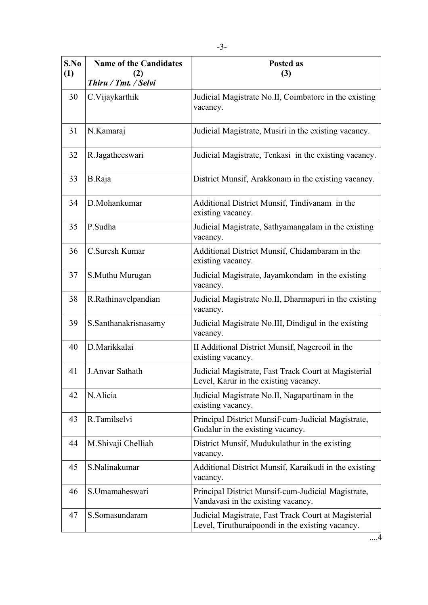| S.No<br>(1) | <b>Name of the Candidates</b><br>(2) | <b>Posted as</b><br>(3)                                                                                  |
|-------------|--------------------------------------|----------------------------------------------------------------------------------------------------------|
|             | Thiru / Tmt. / Selvi                 |                                                                                                          |
| 30          | C.Vijaykarthik                       | Judicial Magistrate No.II, Coimbatore in the existing<br>vacancy.                                        |
| 31          | N.Kamaraj                            | Judicial Magistrate, Musiri in the existing vacancy.                                                     |
| 32          | R.Jagatheeswari                      | Judicial Magistrate, Tenkasi in the existing vacancy.                                                    |
| 33          | B.Raja                               | District Munsif, Arakkonam in the existing vacancy.                                                      |
| 34          | D.Mohankumar                         | Additional District Munsif, Tindivanam in the<br>existing vacancy.                                       |
| 35          | P.Sudha                              | Judicial Magistrate, Sathyamangalam in the existing<br>vacancy.                                          |
| 36          | C.Suresh Kumar                       | Additional District Munsif, Chidambaram in the<br>existing vacancy.                                      |
| 37          | S.Muthu Murugan                      | Judicial Magistrate, Jayamkondam in the existing<br>vacancy.                                             |
| 38          | R.Rathinavelpandian                  | Judicial Magistrate No.II, Dharmapuri in the existing<br>vacancy.                                        |
| 39          | S.Santhanakrisnasamy                 | Judicial Magistrate No.III, Dindigul in the existing<br>vacancy.                                         |
| 40          | D.Marikkalai                         | II Additional District Munsif, Nagercoil in the<br>existing vacancy.                                     |
| 41          | J.Anvar Sathath                      | Judicial Magistrate, Fast Track Court at Magisterial<br>Level, Karur in the existing vacancy.            |
| 42          | N.Alicia                             | Judicial Magistrate No.II, Nagapattinam in the<br>existing vacancy.                                      |
| 43          | R.Tamilselvi                         | Principal District Munsif-cum-Judicial Magistrate,<br>Gudalur in the existing vacancy.                   |
| 44          | M.Shivaji Chelliah                   | District Munsif, Mudukulathur in the existing<br>vacancy.                                                |
| 45          | S.Nalinakumar                        | Additional District Munsif, Karaikudi in the existing<br>vacancy.                                        |
| 46          | S.Umamaheswari                       | Principal District Munsif-cum-Judicial Magistrate,<br>Vandavasi in the existing vacancy.                 |
| 47          | S.Somasundaram                       | Judicial Magistrate, Fast Track Court at Magisterial<br>Level, Tiruthuraipoondi in the existing vacancy. |

....4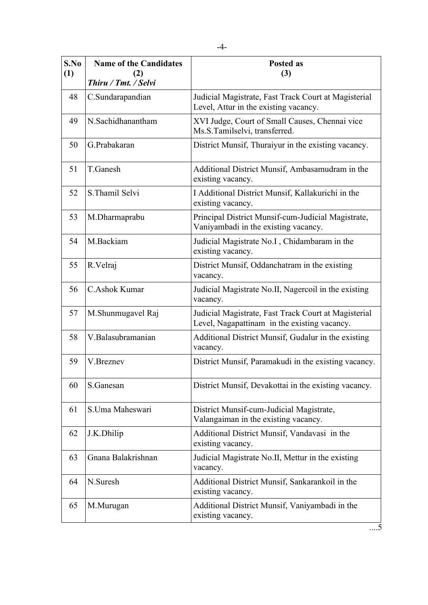| S.No<br>(1) | <b>Name of the Candidates</b><br>(2) | <b>Posted as</b><br>(3)                                                                              |
|-------------|--------------------------------------|------------------------------------------------------------------------------------------------------|
|             | Thiru / Tmt. / Selvi                 |                                                                                                      |
| 48          | C.Sundarapandian                     | Judicial Magistrate, Fast Track Court at Magisterial<br>Level, Attur in the existing vacancy.        |
| 49          | N.Sachidhanantham                    | XVI Judge, Court of Small Causes, Chennai vice<br>Ms.S.Tamilselvi, transferred.                      |
| 50          | G.Prabakaran                         | District Munsif, Thuraiyur in the existing vacancy.                                                  |
| 51          | T.Ganesh                             | Additional District Munsif, Ambasamudram in the<br>existing vacancy.                                 |
| 52          | S. Thamil Selvi                      | I Additional District Munsif, Kallakurichi in the<br>existing vacancy.                               |
| 53          | M.Dharmaprabu                        | Principal District Munsif-cum-Judicial Magistrate,<br>Vaniyambadi in the existing vacancy.           |
| 54          | M.Backiam                            | Judicial Magistrate No.I, Chidambaram in the<br>existing vacancy.                                    |
| 55          | R.Velraj                             | District Munsif, Oddanchatram in the existing<br>vacancy.                                            |
| 56          | C.Ashok Kumar                        | Judicial Magistrate No.II, Nagercoil in the existing<br>vacancy.                                     |
| 57          | M.Shunmugavel Raj                    | Judicial Magistrate, Fast Track Court at Magisterial<br>Level, Nagapattinam in the existing vacancy. |
| 58          | V.Balasubramanian                    | Additional District Munsif, Gudalur in the existing<br>vacancy.                                      |
| 59          | V.Breznev                            | District Munsif, Paramakudi in the existing vacancy.                                                 |
| 60          | S.Ganesan                            | District Munsif, Devakottai in the existing vacancy.                                                 |
| 61          | S.Uma Maheswari                      | District Munsif-cum-Judicial Magistrate,<br>Valangaiman in the existing vacancy.                     |
| 62          | J.K.Dhilip                           | Additional District Munsif, Vandavasi in the<br>existing vacancy.                                    |
| 63          | Gnana Balakrishnan                   | Judicial Magistrate No.II, Mettur in the existing<br>vacancy.                                        |
| 64          | N.Suresh                             | Additional District Munsif, Sankarankoil in the<br>existing vacancy.                                 |
| 65          | M.Murugan                            | Additional District Munsif, Vaniyambadi in the<br>existing vacancy.                                  |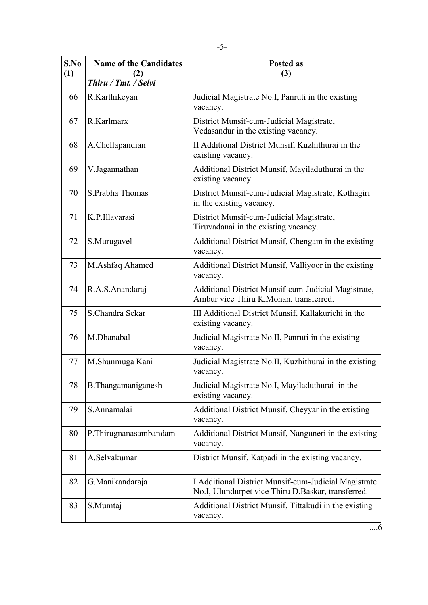| S.No<br>(1) | <b>Name of the Candidates</b><br>(2)<br>Thiru / Tmt. / Selvi | Posted as<br>(3)                                                                                           |
|-------------|--------------------------------------------------------------|------------------------------------------------------------------------------------------------------------|
| 66          | R.Karthikeyan                                                | Judicial Magistrate No.I, Panruti in the existing<br>vacancy.                                              |
| 67          | R.Karlmarx                                                   | District Munsif-cum-Judicial Magistrate,<br>Vedasandur in the existing vacancy.                            |
| 68          | A.Chellapandian                                              | II Additional District Munsif, Kuzhithurai in the<br>existing vacancy.                                     |
| 69          | V.Jagannathan                                                | Additional District Munsif, Mayiladuthurai in the<br>existing vacancy.                                     |
| 70          | S.Prabha Thomas                                              | District Munsif-cum-Judicial Magistrate, Kothagiri<br>in the existing vacancy.                             |
| 71          | K.P.Illavarasi                                               | District Munsif-cum-Judicial Magistrate,<br>Tiruvadanai in the existing vacancy.                           |
| 72          | S.Murugavel                                                  | Additional District Munsif, Chengam in the existing<br>vacancy.                                            |
| 73          | M.Ashfaq Ahamed                                              | Additional District Munsif, Valliyoor in the existing<br>vacancy.                                          |
| 74          | R.A.S.Anandaraj                                              | Additional District Munsif-cum-Judicial Magistrate,<br>Ambur vice Thiru K.Mohan, transferred.              |
| 75          | S.Chandra Sekar                                              | III Additional District Munsif, Kallakurichi in the<br>existing vacancy.                                   |
| 76          | M.Dhanabal                                                   | Judicial Magistrate No.II, Panruti in the existing<br>vacancy.                                             |
| 77          | M.Shunmuga Kani                                              | Judicial Magistrate No.II, Kuzhithurai in the existing<br>vacancy.                                         |
| 78          | B. Thangamaniganesh                                          | Judicial Magistrate No.I, Mayiladuthurai in the<br>existing vacancy.                                       |
| 79          | S.Annamalai                                                  | Additional District Munsif, Cheyyar in the existing<br>vacancy.                                            |
| 80          | P.Thirugnanasambandam                                        | Additional District Munsif, Nanguneri in the existing<br>vacancy.                                          |
| 81          | A.Selvakumar                                                 | District Munsif, Katpadi in the existing vacancy.                                                          |
| 82          | G.Manikandaraja                                              | I Additional District Munsif-cum-Judicial Magistrate<br>No.I, Ulundurpet vice Thiru D.Baskar, transferred. |
| 83          | S.Mumtaj                                                     | Additional District Munsif, Tittakudi in the existing<br>vacancy.                                          |

 $\overrightarrow{...6}$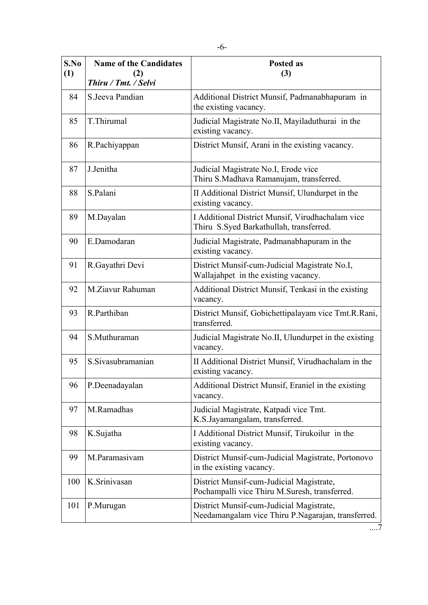| S.No<br>(1) | <b>Name of the Candidates</b><br>(2) | Posted as<br>(3)                                                                               |
|-------------|--------------------------------------|------------------------------------------------------------------------------------------------|
|             | Thiru / Tmt. / Selvi                 |                                                                                                |
| 84          | S. Jeeva Pandian                     | Additional District Munsif, Padmanabhapuram in<br>the existing vacancy.                        |
| 85          | T.Thirumal                           | Judicial Magistrate No.II, Mayiladuthurai in the<br>existing vacancy.                          |
| 86          | R.Pachiyappan                        | District Munsif, Arani in the existing vacancy.                                                |
| 87          | J.Jenitha                            | Judicial Magistrate No.I, Erode vice<br>Thiru S.Madhava Ramanujam, transferred.                |
| 88          | S.Palani                             | II Additional District Munsif, Ulundurpet in the<br>existing vacancy.                          |
| 89          | M.Dayalan                            | I Additional District Munsif, Virudhachalam vice<br>Thiru S.Syed Barkathullah, transferred.    |
| 90          | E.Damodaran                          | Judicial Magistrate, Padmanabhapuram in the<br>existing vacancy.                               |
| 91          | R.Gayathri Devi                      | District Munsif-cum-Judicial Magistrate No.I,<br>Wallajahpet in the existing vacancy.          |
| 92          | M.Ziavur Rahuman                     | Additional District Munsif, Tenkasi in the existing<br>vacancy.                                |
| 93          | R.Parthiban                          | District Munsif, Gobichettipalayam vice Tmt.R.Rani,<br>transferred.                            |
| 94          | S.Muthuraman                         | Judicial Magistrate No.II, Ulundurpet in the existing<br>vacancy.                              |
| 95          | S. Sivasubramanian                   | II Additional District Munsif, Virudhachalam in the<br>existing vacancy.                       |
| 96          | P.Deenadayalan                       | Additional District Munsif, Eraniel in the existing<br>vacancy.                                |
| 97          | M.Ramadhas                           | Judicial Magistrate, Katpadi vice Tmt.<br>K.S.Jayamangalam, transferred.                       |
| 98          | K.Sujatha                            | I Additional District Munsif, Tirukoilur in the<br>existing vacancy.                           |
| 99          | M Paramasiyam                        | District Munsif-cum-Judicial Magistrate, Portonovo<br>in the existing vacancy.                 |
| 100         | K.Srinivasan                         | District Munsif-cum-Judicial Magistrate,<br>Pochampalli vice Thiru M.Suresh, transferred.      |
| 101         | P.Murugan                            | District Munsif-cum-Judicial Magistrate,<br>Needamangalam vice Thiru P.Nagarajan, transferred. |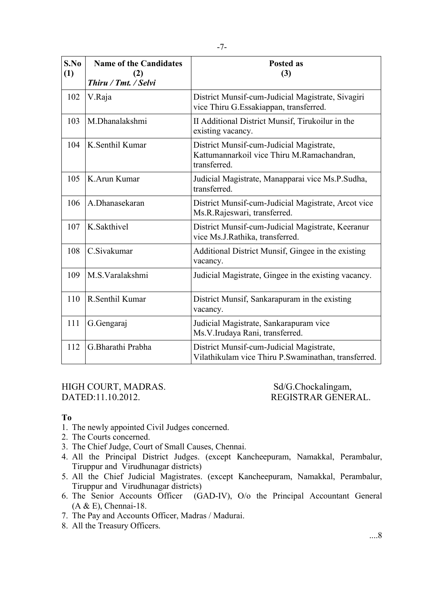| S.No<br>(1) | <b>Name of the Candidates</b><br>(2)<br>Thiru / Tmt. / Selvi | Posted as<br>(3)                                                                                       |
|-------------|--------------------------------------------------------------|--------------------------------------------------------------------------------------------------------|
| 102         | V.Raja                                                       | District Munsif-cum-Judicial Magistrate, Sivagiri<br>vice Thiru G. Essakiappan, transferred.           |
| 103         | M.Dhanalakshmi                                               | II Additional District Munsif, Tirukoilur in the<br>existing vacancy.                                  |
| 104         | K.Senthil Kumar                                              | District Munsif-cum-Judicial Magistrate,<br>Kattumannarkoil vice Thiru M.Ramachandran,<br>transferred. |
| 105         | K.Arun Kumar                                                 | Judicial Magistrate, Manapparai vice Ms.P.Sudha,<br>transferred.                                       |
| 106         | A.Dhanasekaran                                               | District Munsif-cum-Judicial Magistrate, Arcot vice<br>Ms.R.Rajeswari, transferred.                    |
| 107         | K.Sakthivel                                                  | District Munsif-cum-Judicial Magistrate, Keeranur<br>vice Ms.J.Rathika, transferred.                   |
| 108         | C.Sivakumar                                                  | Additional District Munsif, Gingee in the existing<br>vacancy.                                         |
| 109         | M.S. Varalakshmi                                             | Judicial Magistrate, Gingee in the existing vacancy.                                                   |
| 110         | R.Senthil Kumar                                              | District Munsif, Sankarapuram in the existing<br>vacancy.                                              |
| 111         | G.Gengaraj                                                   | Judicial Magistrate, Sankarapuram vice<br>Ms.V.Irudaya Rani, transferred.                              |
| 112         | G.Bharathi Prabha                                            | District Munsif-cum-Judicial Magistrate,<br>Vilathikulam vice Thiru P.Swaminathan, transferred.        |

HIGH COURT, MADRAS. Sd/G.Chockalingam, DATED:11.10.2012. REGISTRAR GENERAL.

#### **To**

- 1. The newly appointed Civil Judges concerned.
- 2. The Courts concerned.
- 3. The Chief Judge, Court of Small Causes, Chennai.
- 4. All the Principal District Judges. (except Kancheepuram, Namakkal, Perambalur, Tiruppur and Virudhunagar districts)
- 5. All the Chief Judicial Magistrates. (except Kancheepuram, Namakkal, Perambalur, Tiruppur and Virudhunagar districts)
- 6. The Senior Accounts Officer (GAD-IV), O/o the Principal Accountant General (A & E), Chennai-18.
- 7. The Pay and Accounts Officer, Madras / Madurai.
- 8. All the Treasury Officers.